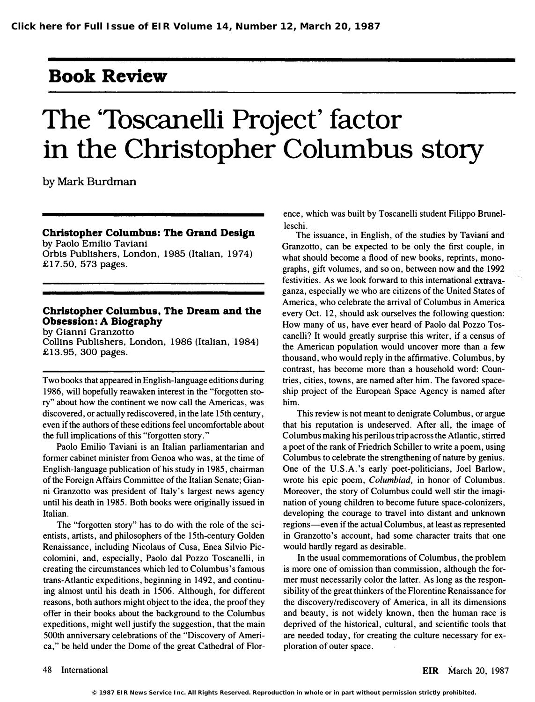# Book Review

# The 'Toscanelli Project' factor in the Christopher Columbus story

by Mark Burdman

Christopher Columbus: The Grand Design by Paolo Emilio Taviani Orbis Publishers. London. 1985 (Italian. 1974) £17.50. 573 pages.

## Christopher Columbus. The Dream and the Obsession: A Biography

by Gianni Granzotto Collins Publishers. London. 1986 (Italian. 1984) £13.95.300 pages.

Two books that appeared in English-language editions during 1986, will hopefully reawaken interest in the "forgotten story" about how the continent we now call the Americas, was discovered. or actually rediscovered, in the late 15th century, even if the authors of these editions feel uncomfortable about the full implications of this "forgotten story."

Paolo Emilio Taviani is an Italian parliamentarian and former cabinet minister from Genoa who was, at the time of English-language publication of his study in 1985, chairman of the Foreign Affairs Committee of the Italian Senate; Gianni Granzotto was president of Italy's largest news agency until his death in 1985. Both books were originally issued in Italian.

The "forgotten story" has to do with the role of the scientists, artists, and philosophers of the 15th-century Golden Renaissance, including Nicolaus of Cusa, Enea Silvio Piccolomini, and, especially, Paolo dal Pozzo Toscanelli, in creating the circumstances which led to Columbus's famous trans-Atlantic expeditions, beginning in 1492, and continuing almost until his death in 1506. Although, for different reasons, both authors might object to the idea, the proof they offer in their books about the background to the Columbus expeditions, might well justify the suggestion, that the main 500th anniversary celebrations of the "Discovery of America," be held under the Dome of the great Cathedral of Florence, which was built by Toscanelli student Filippo Brunelleschi.

The issuance, in English, of the studies by Taviani and Granzotto, can be expected to be only the first couple, in what should become a flood of new books, reprints, monographs, gift volumes, and so on, between now and the 1992 festivities. As we look forward to this international extravaganza, especially we who are citizens of the United States of America, who celebrate the arrival of Columbus in America every Oct. 12, should ask ourselves the following question: How many of us, have ever heard of Paolo dal Pozzo Toscanelli? It would greatly surprise this writer, if a census of the American population would uncover more than a few thousand, who would reply in the affirmative. Columbus, by contrast, has become more than a household word: Countries, cities, towns, are named after him. The favored spaceship project of the European Space Agency is named after him.

This review is not meant to denigrate Columbus, or argue that his reputation is undeserved. After all, the image of Columbus making his perilous trip across the Atlantic, stirred a poet of the rank of Friedrich Schiller to write a poem, using Columbus to celebrate the strengthening of nature by genius. One of the U.S.A.'s early poet-politicians, Joel Barlow, wrote his epic poem, Columbiad, in honor of Columbus. Moreover, the story of Columbus could well stir the imagination of young children to become future space-colonizers, developing the courage to travel into distant and unknown regions-even if the actual Columbus, at least as represented in Granzotto's account, had some character traits that one would hardly regard as desirable.

In the usual commemorations of Columbus, the problem is more one of omission than commission, although the former must necessarily color the latter. As long as the responsibility of the great thinkers of the Florentine Renaissance for the discovery/rediscovery of America, in all its dimensions and beauty, is not widely known, then the human race is deprived of the historical, cultural, and scientific tools that are needed today, for creating the culture necessary for exploration of outer space.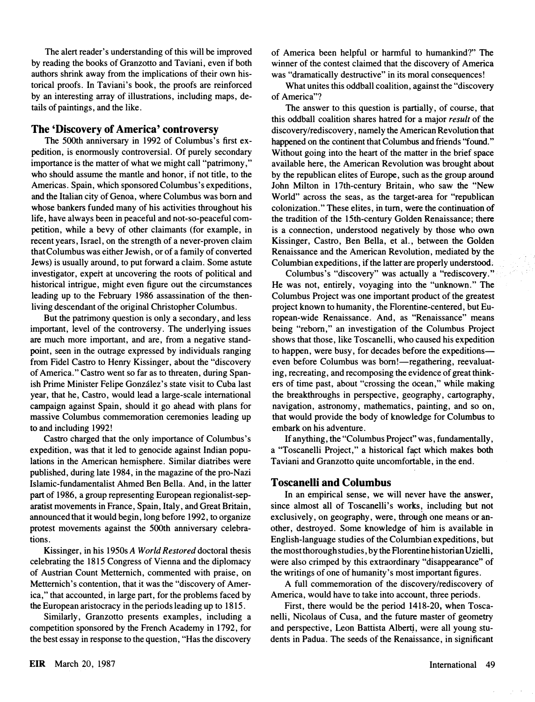The alert reader's understanding of this will be improved by reading the books of Granzotto and Taviani, even if both authors shrink away from the implications of their own historical proofs. In Taviani's book, the proofs are reinforced by an interesting array of illustrations, including maps, details of paintings, and the like.

### The 'Discovery of America' controversy

The SOOth anniversary in 1992 of Columbus's first expedition, is enormously controversial. Of purely secondary importance is the matter of what we might call "patrimony," who should assume the mantle and honor, if not title, to the Americas. Spain, which sponsored Columbus's expeditions, and the Italian city of Genoa, where Columbus was born and whose bankers funded many of his activities throughout his life, have always been in peaceful and not-so-peaceful competition, while a bevy of other claimants (for example, in recent years, Israel, on the strength of a never-proven claim that Columbus was either Jewish, or of a family of converted Jews) is usually around, to put forward a claim. Some astute investigator, expert at uncovering the roots of political and historical intrigue, might even figure out the circumstances leading up to the February 1986 assassination of the thenliving descendant of the original Christopher Columbus.

But the patrimony question is only a secondary, and less important, level of the controversy. The underlying issues are much more important, and are, from a negative standpoint, seen in the outrage expressed by individuals ranging from Fidel Castro to Henry Kissinger, about the "discovery of America." Castro went so far as to threaten, during Spanish Prime Minister Felipe Gonzalez's state visit to Cuba last year, that he, Castro, would lead a large-scale international campaign against Spain, should it go ahead with plans for massive Columbus commemoration ceremonies leading up to and including 1992!

Castro charged that the only importance of Columbus's expedition, was that it led to genocide against Indian populations in the American hemisphere. Similar diatribes were published, during late 1984, in the magazine of the pro-Nazi Islamic-fundamentalist Ahmed Ben Bella. And, in the latter part of 1986, a group representing European regionalist-separatist movements in France, Spain, Italy, and Great Britain, announced that it would begin, long before 1992, to organize protest movements against the SOOth anniversary celebrations.

Kissinger, in his 1950s A World Restored doctoral thesis celebrating the 18 15 Congress of Vienna and the diplomacy of Austrian Count Metternich, commented with praise, on Metternich's contention, that it was the "discovery of America," that accounted, in large part, for the problems faced by the European aristocracy in the periods leading up to 18 15.

Similarly, Granzotto presents examples, including a competition sponsored by the French Academy in 1792, for the best essay in response to the question, "Has the discovery

of America been helpful or harmful to humankind?" The winner of the contest claimed that the discovery of America was "dramatically destructive" in its moral consequences!

What unites this oddball coalition, against the "discovery of America"?

The answer to this question is partially, of course, that this oddball coalition shares hatred for a major result of the discovery/rediscovery, namely the American Revolution that happened on the continent that Columbus and friends "found." Without going into the heart of the matter in the brief space available here, the American Revolution was brought about by the republican elites of Europe, such as the group around John Milton in 17th-century Britain, who saw the "New World" across the seas, as the target-area for "republican colonization." These elites, in tum, were the continuation of the tradition of the 15th-century Golden Renaissance; there is a connection, understood negatively by those who own Kissinger, Castro, Ben Bella, et aI., between the Golden Renaissance and the American Revolution, mediated by the Columbian expeditions, if the latter are properly understood.

Columbus's "discovery" was actually a "rediscovery." He was not, entirely, voyaging into the "unknown." The Columbus Project was one important product of the greatest project known to humanity, the Florentine-centered, but European-wide Renaissance. And, as "Renaissance" means being "reborn," an investigation of the Columbus Project shows that those, like Toscanelli, who caused his expedition to happen, were busy, for decades before the expeditionseven before Columbus was born!—regathering, reevaluating, recreating, and recomposing the evidence of great thinkers of time past, about "crossing the ocean," while making the breakthroughs in perspective, geography, cartography, navigation, astronomy, mathematics, painting, and so on, that would provide the body of knowledge for Columbus to embark on his adventure.

If anything, the "Columbus Project" was, fundamentally, a "Toscanelli Project," a historical fact which makes both Taviani and Granzotto quite uncomfortable, in the end.

#### Toscanelli and Columbus

In an empirical sense, we will never have the answer, since almost all of Toscanelli's works, including but not exclusively, on geography, were, through one means or another, destroyed. Some knowledge of him is available in English-language studies of the Columbian expeditions, but the most thorough studies, by the Florentine historian Uzielli, were also crimped by this extraordinary "disappearance" of the writings of one of humanity's most important figures.

A full commemoration of the discovery/rediscovery of America, would have to take into account, three periods.

First, there would be the period 1418-20, when Toscanelli, Nicolaus of Cusa, and the future master of geometry and perspective, Leon Battista Alberti, were all young students in Padua. The seeds of the Renaissance, in significant